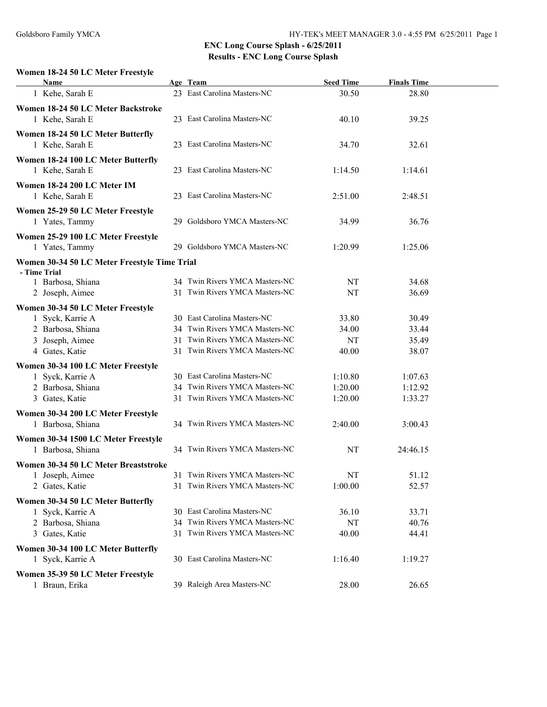#### **Women 18-24 50 LC Meter Freestyle**

| <b>Name</b>                                                  | Age Team                                                         | <b>Seed Time</b> | <b>Finals Time</b> |  |
|--------------------------------------------------------------|------------------------------------------------------------------|------------------|--------------------|--|
| 1 Kehe, Sarah E                                              | 23 East Carolina Masters-NC                                      | 30.50            | 28.80              |  |
| Women 18-24 50 LC Meter Backstroke<br>1 Kehe, Sarah E        | 23 East Carolina Masters-NC                                      | 40.10            | 39.25              |  |
| Women 18-24 50 LC Meter Butterfly<br>1 Kehe, Sarah E         | 23 East Carolina Masters-NC                                      | 34.70            | 32.61              |  |
| Women 18-24 100 LC Meter Butterfly<br>1 Kehe, Sarah E        | 23 East Carolina Masters-NC                                      | 1:14.50          | 1:14.61            |  |
| Women 18-24 200 LC Meter IM<br>1 Kehe, Sarah E               | 23 East Carolina Masters-NC                                      | 2:51.00          | 2:48.51            |  |
| Women 25-29 50 LC Meter Freestyle<br>1 Yates, Tammy          | 29 Goldsboro YMCA Masters-NC                                     | 34.99            | 36.76              |  |
| Women 25-29 100 LC Meter Freestyle<br>1 Yates, Tammy         | 29 Goldsboro YMCA Masters-NC                                     | 1:20.99          | 1:25.06            |  |
| Women 30-34 50 LC Meter Freestyle Time Trial<br>- Time Trial |                                                                  |                  |                    |  |
| 1 Barbosa, Shiana<br>2 Joseph, Aimee                         | 34 Twin Rivers YMCA Masters-NC<br>31 Twin Rivers YMCA Masters-NC | NT<br>NT         | 34.68<br>36.69     |  |
| Women 30-34 50 LC Meter Freestyle                            |                                                                  |                  |                    |  |
| 1 Syck, Karrie A                                             | 30 East Carolina Masters-NC                                      | 33.80            | 30.49              |  |
| 2 Barbosa, Shiana                                            | 34 Twin Rivers YMCA Masters-NC                                   | 34.00            | 33.44              |  |
| 3 Joseph, Aimee                                              | 31 Twin Rivers YMCA Masters-NC                                   | NT               | 35.49              |  |
| 4 Gates, Katie                                               | 31 Twin Rivers YMCA Masters-NC                                   | 40.00            | 38.07              |  |
| Women 30-34 100 LC Meter Freestyle                           |                                                                  |                  |                    |  |
| 1 Syck, Karrie A                                             | 30 East Carolina Masters-NC                                      | 1:10.80          | 1:07.63            |  |
| 2 Barbosa, Shiana                                            | 34 Twin Rivers YMCA Masters-NC                                   | 1:20.00          | 1:12.92            |  |
| 3 Gates, Katie                                               | 31 Twin Rivers YMCA Masters-NC                                   | 1:20.00          | 1:33.27            |  |
| Women 30-34 200 LC Meter Freestyle                           |                                                                  |                  |                    |  |
| 1 Barbosa, Shiana                                            | 34 Twin Rivers YMCA Masters-NC                                   | 2:40.00          | 3:00.43            |  |
| Women 30-34 1500 LC Meter Freestyle                          |                                                                  |                  |                    |  |
| 1 Barbosa, Shiana                                            | 34 Twin Rivers YMCA Masters-NC                                   | NT               | 24:46.15           |  |
| Women 30-34 50 LC Meter Breaststroke                         |                                                                  |                  |                    |  |
| 1 Joseph, Aimee                                              | 31 Twin Rivers YMCA Masters-NC                                   | NT               | 51.12              |  |
| 2 Gates, Katie                                               | 31 Twin Rivers YMCA Masters-NC                                   | 1:00.00          | 52.57              |  |
| Women 30-34 50 LC Meter Butterfly                            |                                                                  |                  |                    |  |
| 1 Syck, Karrie A                                             | 30 East Carolina Masters-NC                                      | 36.10            | 33.71              |  |
| 2 Barbosa, Shiana                                            | 34 Twin Rivers YMCA Masters-NC                                   | NT               | 40.76              |  |
| 3 Gates, Katie                                               | 31 Twin Rivers YMCA Masters-NC                                   | 40.00            | 44.41              |  |
| Women 30-34 100 LC Meter Butterfly                           |                                                                  |                  |                    |  |
| 1 Syck, Karrie A                                             | 30 East Carolina Masters-NC                                      | 1:16.40          | 1:19.27            |  |
| Women 35-39 50 LC Meter Freestyle                            |                                                                  |                  |                    |  |
| 1 Braun, Erika                                               | 39 Raleigh Area Masters-NC                                       | 28.00            | 26.65              |  |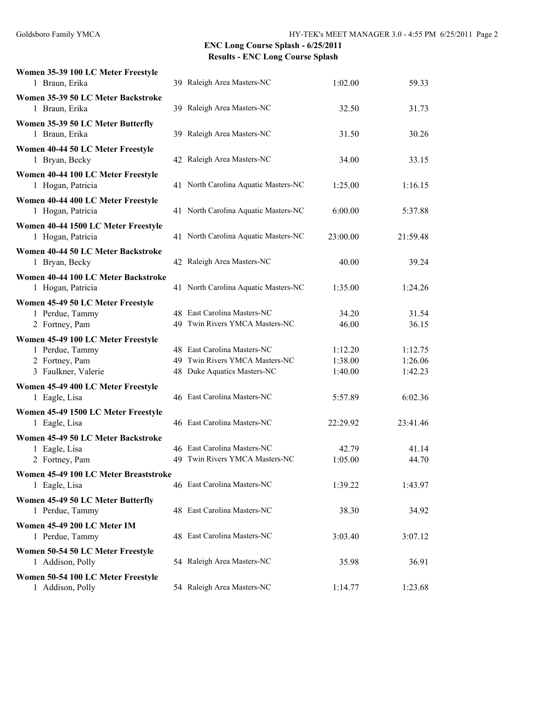| Women 35-39 100 LC Meter Freestyle    |                                      |          |          |
|---------------------------------------|--------------------------------------|----------|----------|
| 1 Braun, Erika                        | 39 Raleigh Area Masters-NC           | 1:02.00  | 59.33    |
| Women 35-39 50 LC Meter Backstroke    |                                      |          |          |
| 1 Braun, Erika                        | 39 Raleigh Area Masters-NC           | 32.50    | 31.73    |
| Women 35-39 50 LC Meter Butterfly     |                                      |          |          |
| 1 Braun, Erika                        | 39 Raleigh Area Masters-NC           | 31.50    | 30.26    |
| Women 40-44 50 LC Meter Freestyle     |                                      |          |          |
| 1 Bryan, Becky                        | 42 Raleigh Area Masters-NC           | 34.00    | 33.15    |
| Women 40-44 100 LC Meter Freestyle    |                                      |          |          |
| 1 Hogan, Patricia                     | 41 North Carolina Aquatic Masters-NC | 1:25.00  | 1:16.15  |
| Women 40-44 400 LC Meter Freestyle    |                                      |          |          |
| 1 Hogan, Patricia                     | 41 North Carolina Aquatic Masters-NC | 6:00.00  | 5:37.88  |
| Women 40-44 1500 LC Meter Freestyle   |                                      |          |          |
| 1 Hogan, Patricia                     | 41 North Carolina Aquatic Masters-NC | 23:00.00 | 21:59.48 |
| Women 40-44 50 LC Meter Backstroke    |                                      |          |          |
| 1 Bryan, Becky                        | 42 Raleigh Area Masters-NC           | 40.00    | 39.24    |
| Women 40-44 100 LC Meter Backstroke   |                                      |          |          |
| 1 Hogan, Patricia                     | 41 North Carolina Aquatic Masters-NC | 1:35.00  | 1:24.26  |
| Women 45-49 50 LC Meter Freestyle     |                                      |          |          |
| 1 Perdue, Tammy                       | 48 East Carolina Masters-NC          | 34.20    | 31.54    |
| 2 Fortney, Pam                        | 49 Twin Rivers YMCA Masters-NC       | 46.00    | 36.15    |
| Women 45-49 100 LC Meter Freestyle    |                                      |          |          |
| 1 Perdue, Tammy                       | 48 East Carolina Masters-NC          | 1:12.20  | 1:12.75  |
| 2 Fortney, Pam                        | 49 Twin Rivers YMCA Masters-NC       | 1:38.00  | 1:26.06  |
| 3 Faulkner, Valerie                   | 48 Duke Aquatics Masters-NC          | 1:40.00  | 1:42.23  |
| Women 45-49 400 LC Meter Freestyle    |                                      |          |          |
| 1 Eagle, Lisa                         | 46 East Carolina Masters-NC          | 5:57.89  | 6:02.36  |
| Women 45-49 1500 LC Meter Freestyle   |                                      |          |          |
| 1 Eagle, Lisa                         | 46 East Carolina Masters-NC          | 22:29.92 | 23:41.46 |
| Women 45-49 50 LC Meter Backstroke    |                                      |          |          |
| 1 Eagle, Lisa                         | 46 East Carolina Masters-NC          | 42.79    | 41.14    |
| 2 Fortney, Pam                        | 49 Twin Rivers YMCA Masters-NC       | 1:05.00  | 44.70    |
| Women 45-49 100 LC Meter Breaststroke |                                      |          |          |
| 1 Eagle, Lisa                         | 46 East Carolina Masters-NC          | 1:39.22  | 1:43.97  |
| Women 45-49 50 LC Meter Butterfly     |                                      |          |          |
| 1 Perdue, Tammy                       | 48 East Carolina Masters-NC          | 38.30    | 34.92    |
| Women 45-49 200 LC Meter IM           |                                      |          |          |
| 1 Perdue, Tammy                       | 48 East Carolina Masters-NC          | 3:03.40  | 3:07.12  |
| Women 50-54 50 LC Meter Freestyle     |                                      |          |          |
| 1 Addison, Polly                      | 54 Raleigh Area Masters-NC           | 35.98    | 36.91    |
| Women 50-54 100 LC Meter Freestyle    |                                      |          |          |
| 1 Addison, Polly                      | 54 Raleigh Area Masters-NC           | 1:14.77  | 1:23.68  |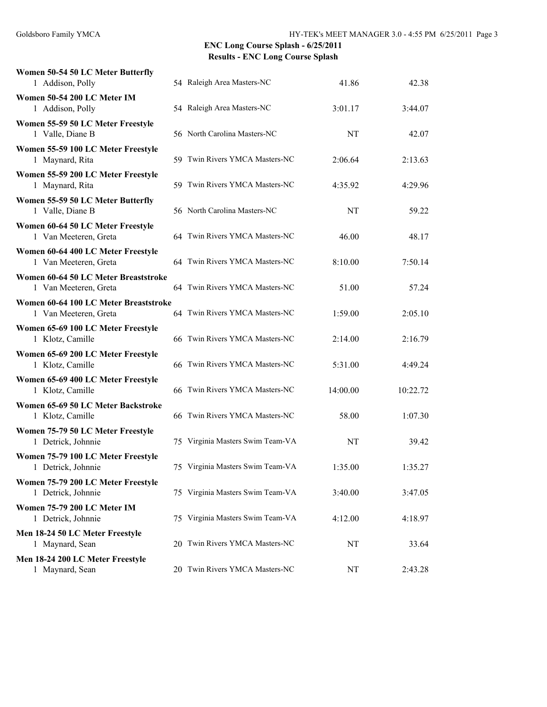| Women 50-54 50 LC Meter Butterfly<br>1 Addison, Polly          | 54 Raleigh Area Masters-NC       | 41.86    | 42.38    |
|----------------------------------------------------------------|----------------------------------|----------|----------|
| Women 50-54 200 LC Meter IM<br>1 Addison, Polly                | 54 Raleigh Area Masters-NC       | 3:01.17  | 3:44.07  |
| Women 55-59 50 LC Meter Freestyle<br>1 Valle, Diane B          | 56 North Carolina Masters-NC     | NT       | 42.07    |
| Women 55-59 100 LC Meter Freestyle<br>1 Maynard, Rita          | 59 Twin Rivers YMCA Masters-NC   | 2:06.64  | 2:13.63  |
| Women 55-59 200 LC Meter Freestyle<br>1 Maynard, Rita          | 59 Twin Rivers YMCA Masters-NC   | 4:35.92  | 4:29.96  |
| Women 55-59 50 LC Meter Butterfly<br>1 Valle, Diane B          | 56 North Carolina Masters-NC     | NT       | 59.22    |
| Women 60-64 50 LC Meter Freestyle<br>1 Van Meeteren, Greta     | 64 Twin Rivers YMCA Masters-NC   | 46.00    | 48.17    |
| Women 60-64 400 LC Meter Freestyle<br>1 Van Meeteren, Greta    | 64 Twin Rivers YMCA Masters-NC   | 8:10.00  | 7:50.14  |
| Women 60-64 50 LC Meter Breaststroke<br>1 Van Meeteren, Greta  | 64 Twin Rivers YMCA Masters-NC   | 51.00    | 57.24    |
| Women 60-64 100 LC Meter Breaststroke<br>1 Van Meeteren, Greta | 64 Twin Rivers YMCA Masters-NC   | 1:59.00  | 2:05.10  |
| Women 65-69 100 LC Meter Freestyle<br>1 Klotz, Camille         | 66 Twin Rivers YMCA Masters-NC   | 2:14.00  | 2:16.79  |
| Women 65-69 200 LC Meter Freestyle<br>1 Klotz, Camille         | 66 Twin Rivers YMCA Masters-NC   | 5:31.00  | 4:49.24  |
| Women 65-69 400 LC Meter Freestyle<br>1 Klotz, Camille         | 66 Twin Rivers YMCA Masters-NC   | 14:00.00 | 10:22.72 |
| Women 65-69 50 LC Meter Backstroke<br>1 Klotz, Camille         | 66 Twin Rivers YMCA Masters-NC   | 58.00    | 1:07.30  |
| Women 75-79 50 LC Meter Freestyle<br>1 Detrick, Johnnie        | 75 Virginia Masters Swim Team-VA | NT       | 39.42    |
| Women 75-79 100 LC Meter Freestyle<br>1 Detrick, Johnnie       | 75 Virginia Masters Swim Team-VA | 1:35.00  | 1:35.27  |
| Women 75-79 200 LC Meter Freestyle<br>1 Detrick, Johnnie       | 75 Virginia Masters Swim Team-VA | 3:40.00  | 3:47.05  |
| Women 75-79 200 LC Meter IM<br>1 Detrick, Johnnie              | 75 Virginia Masters Swim Team-VA | 4:12.00  | 4:18.97  |
| Men 18-24 50 LC Meter Freestyle<br>1 Maynard, Sean             | 20 Twin Rivers YMCA Masters-NC   | NT       | 33.64    |
| Men 18-24 200 LC Meter Freestyle<br>1 Maynard, Sean            | 20 Twin Rivers YMCA Masters-NC   | NT       | 2:43.28  |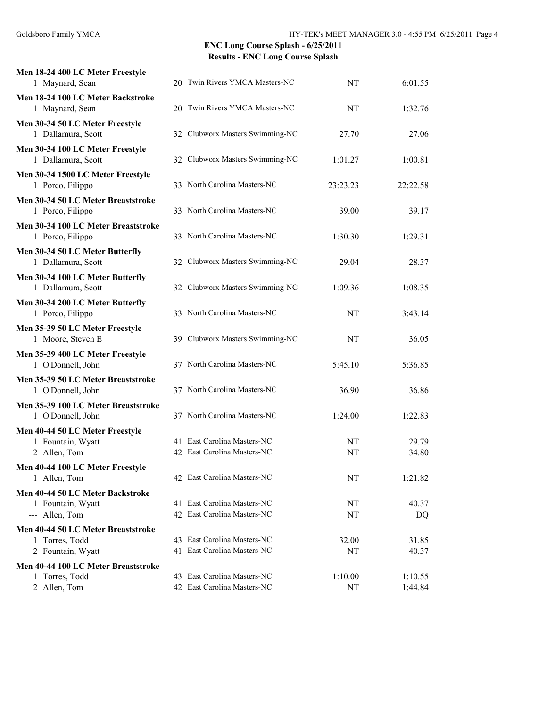| Men 18-24 400 LC Meter Freestyle<br>1 Maynard, Sean                       | 20 Twin Rivers YMCA Masters-NC                             | NT            | 6:01.55            |
|---------------------------------------------------------------------------|------------------------------------------------------------|---------------|--------------------|
| Men 18-24 100 LC Meter Backstroke<br>1 Maynard, Sean                      | 20 Twin Rivers YMCA Masters-NC                             | NT            | 1:32.76            |
| Men 30-34 50 LC Meter Freestyle<br>1 Dallamura, Scott                     | 32 Clubworx Masters Swimming-NC                            | 27.70         | 27.06              |
| Men 30-34 100 LC Meter Freestyle<br>1 Dallamura, Scott                    | 32 Clubworx Masters Swimming-NC                            | 1:01.27       | 1:00.81            |
| Men 30-34 1500 LC Meter Freestyle<br>1 Porco, Filippo                     | 33 North Carolina Masters-NC                               | 23:23.23      | 22:22.58           |
| Men 30-34 50 LC Meter Breaststroke<br>1 Porco, Filippo                    | 33 North Carolina Masters-NC                               | 39.00         | 39.17              |
| Men 30-34 100 LC Meter Breaststroke<br>1 Porco, Filippo                   | 33 North Carolina Masters-NC                               | 1:30.30       | 1:29.31            |
| Men 30-34 50 LC Meter Butterfly<br>1 Dallamura, Scott                     | 32 Clubworx Masters Swimming-NC                            | 29.04         | 28.37              |
| Men 30-34 100 LC Meter Butterfly<br>1 Dallamura, Scott                    | 32 Clubworx Masters Swimming-NC                            | 1:09.36       | 1:08.35            |
| Men 30-34 200 LC Meter Butterfly<br>1 Porco, Filippo                      | 33 North Carolina Masters-NC                               | NT            | 3:43.14            |
| Men 35-39 50 LC Meter Freestyle<br>1 Moore, Steven E                      | 39 Clubworx Masters Swimming-NC                            | NT            | 36.05              |
| Men 35-39 400 LC Meter Freestyle<br>1 O'Donnell, John                     | 37 North Carolina Masters-NC                               | 5:45.10       | 5:36.85            |
| Men 35-39 50 LC Meter Breaststroke<br>1 O'Donnell, John                   | 37 North Carolina Masters-NC                               | 36.90         | 36.86              |
| Men 35-39 100 LC Meter Breaststroke<br>1 O'Donnell, John                  | 37 North Carolina Masters-NC                               | 1:24.00       | 1:22.83            |
| Men 40-44 50 LC Meter Freestyle<br>1 Fountain, Wyatt<br>2 Allen, Tom      | 41 East Carolina Masters-NC<br>42 East Carolina Masters-NC | NT<br>NT      | 29.79<br>34.80     |
| Men 40-44 100 LC Meter Freestyle<br>1 Allen, Tom                          | 42 East Carolina Masters-NC                                | NT            | 1:21.82            |
| Men 40-44 50 LC Meter Backstroke<br>1 Fountain, Wyatt<br>--- Allen, Tom   | 41 East Carolina Masters-NC<br>42 East Carolina Masters-NC | NT<br>NT      | 40.37<br>DQ        |
| Men 40-44 50 LC Meter Breaststroke<br>1 Torres, Todd<br>2 Fountain, Wyatt | 43 East Carolina Masters-NC<br>41 East Carolina Masters-NC | 32.00<br>NT   | 31.85<br>40.37     |
| Men 40-44 100 LC Meter Breaststroke<br>1 Torres, Todd<br>2 Allen, Tom     | 43 East Carolina Masters-NC<br>42 East Carolina Masters-NC | 1:10.00<br>NT | 1:10.55<br>1:44.84 |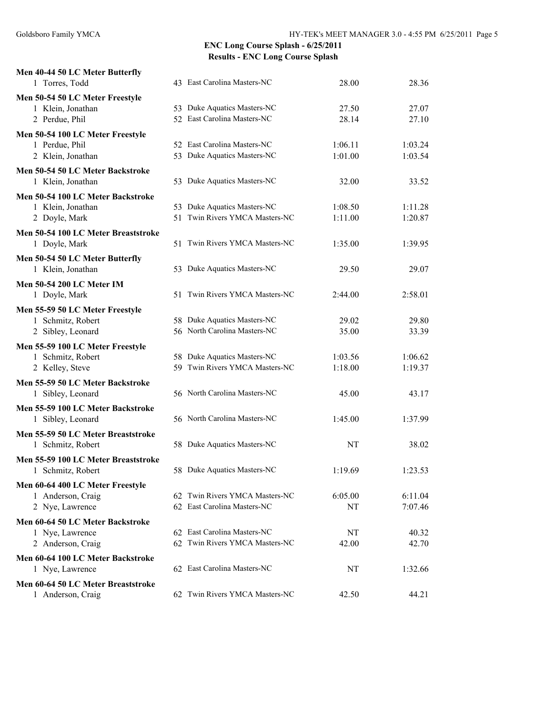| Men 40-44 50 LC Meter Butterfly<br>1 Torres, Todd    | 43 East Carolina Masters-NC    | 28.00   | 28.36   |
|------------------------------------------------------|--------------------------------|---------|---------|
|                                                      |                                |         |         |
| Men 50-54 50 LC Meter Freestyle<br>1 Klein, Jonathan | 53 Duke Aquatics Masters-NC    | 27.50   | 27.07   |
| 2 Perdue, Phil                                       | 52 East Carolina Masters-NC    | 28.14   | 27.10   |
| Men 50-54 100 LC Meter Freestyle                     |                                |         |         |
| 1 Perdue, Phil                                       | 52 East Carolina Masters-NC    | 1:06.11 | 1:03.24 |
| 2 Klein, Jonathan                                    | 53 Duke Aquatics Masters-NC    | 1:01.00 | 1:03.54 |
| Men 50-54 50 LC Meter Backstroke                     |                                |         |         |
| 1 Klein, Jonathan                                    | 53 Duke Aquatics Masters-NC    | 32.00   | 33.52   |
| Men 50-54 100 LC Meter Backstroke                    |                                |         |         |
| 1 Klein, Jonathan                                    | 53 Duke Aquatics Masters-NC    | 1:08.50 | 1:11.28 |
| 2 Doyle, Mark                                        | 51 Twin Rivers YMCA Masters-NC | 1:11.00 | 1:20.87 |
| Men 50-54 100 LC Meter Breaststroke                  |                                |         |         |
| 1 Doyle, Mark                                        | 51 Twin Rivers YMCA Masters-NC | 1:35.00 | 1:39.95 |
| Men 50-54 50 LC Meter Butterfly                      |                                |         |         |
| 1 Klein, Jonathan                                    | 53 Duke Aquatics Masters-NC    | 29.50   | 29.07   |
| <b>Men 50-54 200 LC Meter IM</b>                     |                                |         |         |
| 1 Doyle, Mark                                        | 51 Twin Rivers YMCA Masters-NC | 2:44.00 | 2:58.01 |
| Men 55-59 50 LC Meter Freestyle                      |                                |         |         |
| 1 Schmitz, Robert                                    | 58 Duke Aquatics Masters-NC    | 29.02   | 29.80   |
| 2 Sibley, Leonard                                    | 56 North Carolina Masters-NC   | 35.00   | 33.39   |
| Men 55-59 100 LC Meter Freestyle                     |                                |         |         |
| 1 Schmitz, Robert                                    | 58 Duke Aquatics Masters-NC    | 1:03.56 | 1:06.62 |
| 2 Kelley, Steve                                      | 59 Twin Rivers YMCA Masters-NC | 1:18.00 | 1:19.37 |
| Men 55-59 50 LC Meter Backstroke                     |                                |         |         |
| 1 Sibley, Leonard                                    | 56 North Carolina Masters-NC   | 45.00   | 43.17   |
| Men 55-59 100 LC Meter Backstroke                    |                                |         |         |
| 1 Sibley, Leonard                                    | 56 North Carolina Masters-NC   | 1:45.00 | 1:37.99 |
| Men 55-59 50 LC Meter Breaststroke                   |                                |         |         |
| 1 Schmitz, Robert                                    | 58 Duke Aquatics Masters-NC    | NT      | 38.02   |
| Men 55-59 100 LC Meter Breaststroke                  |                                |         |         |
| 1 Schmitz, Robert                                    | 58 Duke Aquatics Masters-NC    | 1:19.69 | 1:23.53 |
| Men 60-64 400 LC Meter Freestyle                     |                                |         |         |
| 1 Anderson, Craig                                    | 62 Twin Rivers YMCA Masters-NC | 6:05.00 | 6:11.04 |
| 2 Nye, Lawrence                                      | 62 East Carolina Masters-NC    | NT      | 7:07.46 |
| Men 60-64 50 LC Meter Backstroke                     |                                |         |         |
| 1 Nye, Lawrence                                      | 62 East Carolina Masters-NC    | NT      | 40.32   |
| 2 Anderson, Craig                                    | 62 Twin Rivers YMCA Masters-NC | 42.00   | 42.70   |
| Men 60-64 100 LC Meter Backstroke                    |                                |         |         |
| 1 Nye, Lawrence                                      | 62 East Carolina Masters-NC    | NT      | 1:32.66 |
| Men 60-64 50 LC Meter Breaststroke                   |                                |         |         |
| 1 Anderson, Craig                                    | 62 Twin Rivers YMCA Masters-NC | 42.50   | 44.21   |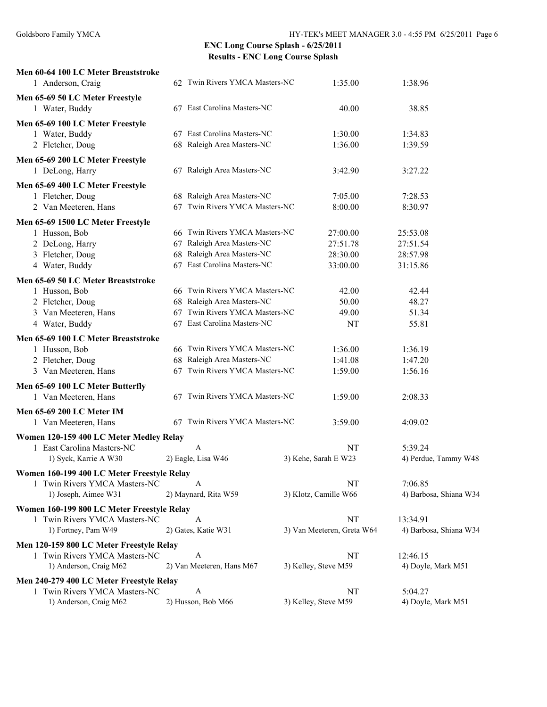| Men 60-64 100 LC Meter Breaststroke<br>1 Anderson, Craig                    |    | 62 Twin Rivers YMCA Masters-NC | 1:35.00                    | 1:38.96                |  |
|-----------------------------------------------------------------------------|----|--------------------------------|----------------------------|------------------------|--|
|                                                                             |    |                                |                            |                        |  |
| Men 65-69 50 LC Meter Freestyle<br>1 Water, Buddy                           |    | 67 East Carolina Masters-NC    | 40.00                      | 38.85                  |  |
|                                                                             |    |                                |                            |                        |  |
| Men 65-69 100 LC Meter Freestyle                                            |    | 67 East Carolina Masters-NC    | 1:30.00                    | 1:34.83                |  |
| 1 Water, Buddy<br>2 Fletcher, Doug                                          |    | 68 Raleigh Area Masters-NC     | 1:36.00                    | 1:39.59                |  |
|                                                                             |    |                                |                            |                        |  |
| Men 65-69 200 LC Meter Freestyle                                            |    |                                |                            |                        |  |
| 1 DeLong, Harry                                                             |    | 67 Raleigh Area Masters-NC     | 3:42.90                    | 3:27.22                |  |
| Men 65-69 400 LC Meter Freestyle                                            |    |                                |                            |                        |  |
| 1 Fletcher, Doug                                                            |    | 68 Raleigh Area Masters-NC     | 7:05.00                    | 7:28.53                |  |
| 2 Van Meeteren, Hans                                                        |    | 67 Twin Rivers YMCA Masters-NC | 8:00.00                    | 8:30.97                |  |
| Men 65-69 1500 LC Meter Freestyle                                           |    |                                |                            |                        |  |
| 1 Husson, Bob                                                               |    | 66 Twin Rivers YMCA Masters-NC | 27:00.00                   | 25:53.08               |  |
| 2 DeLong, Harry                                                             | 67 | Raleigh Area Masters-NC        | 27:51.78                   | 27:51.54               |  |
| 3 Fletcher, Doug                                                            | 68 | Raleigh Area Masters-NC        | 28:30.00                   | 28:57.98               |  |
| 4 Water, Buddy                                                              | 67 | East Carolina Masters-NC       | 33:00.00                   | 31:15.86               |  |
| Men 65-69 50 LC Meter Breaststroke                                          |    |                                |                            |                        |  |
| 1 Husson, Bob                                                               |    | 66 Twin Rivers YMCA Masters-NC | 42.00                      | 42.44                  |  |
| 2 Fletcher, Doug                                                            |    | 68 Raleigh Area Masters-NC     | 50.00                      | 48.27                  |  |
| 3 Van Meeteren, Hans                                                        | 67 | Twin Rivers YMCA Masters-NC    | 49.00                      | 51.34                  |  |
| 4 Water, Buddy                                                              |    | 67 East Carolina Masters-NC    | NT                         | 55.81                  |  |
| Men 65-69 100 LC Meter Breaststroke                                         |    |                                |                            |                        |  |
| 1 Husson, Bob                                                               |    | 66 Twin Rivers YMCA Masters-NC | 1:36.00                    | 1:36.19                |  |
| 2 Fletcher, Doug                                                            |    | 68 Raleigh Area Masters-NC     | 1:41.08                    | 1:47.20                |  |
| 3 Van Meeteren, Hans                                                        |    | 67 Twin Rivers YMCA Masters-NC | 1:59.00                    | 1:56.16                |  |
| Men 65-69 100 LC Meter Butterfly                                            |    |                                |                            |                        |  |
| 1 Van Meeteren, Hans                                                        |    | 67 Twin Rivers YMCA Masters-NC | 1:59.00                    | 2:08.33                |  |
| Men 65-69 200 LC Meter IM                                                   |    |                                |                            |                        |  |
| 1 Van Meeteren, Hans                                                        |    | 67 Twin Rivers YMCA Masters-NC | 3:59.00                    | 4:09.02                |  |
|                                                                             |    |                                |                            |                        |  |
| Women 120-159 400 LC Meter Medley Relay<br>1 East Carolina Masters-NC       |    | A                              | NT                         | 5:39.24                |  |
| 1) Syck, Karrie A W30                                                       |    | 2) Eagle, Lisa W46             | 3) Kehe, Sarah E W23       | 4) Perdue, Tammy W48   |  |
|                                                                             |    |                                |                            |                        |  |
| Women 160-199 400 LC Meter Freestyle Relay<br>1 Twin Rivers YMCA Masters-NC |    | A                              | NT                         | 7:06.85                |  |
| 1) Joseph, Aimee W31                                                        |    | 2) Maynard, Rita W59           | 3) Klotz, Camille W66      | 4) Barbosa, Shiana W34 |  |
|                                                                             |    |                                |                            |                        |  |
| Women 160-199 800 LC Meter Freestyle Relay                                  |    |                                |                            |                        |  |
| 1 Twin Rivers YMCA Masters-NC                                               |    | A                              | NT                         | 13:34.91               |  |
| 1) Fortney, Pam W49                                                         |    | 2) Gates, Katie W31            | 3) Van Meeteren, Greta W64 | 4) Barbosa, Shiana W34 |  |
| Men 120-159 800 LC Meter Freestyle Relay                                    |    |                                |                            |                        |  |
| 1 Twin Rivers YMCA Masters-NC                                               |    | A                              | NT                         | 12:46.15               |  |
| 1) Anderson, Craig M62                                                      |    | 2) Van Meeteren, Hans M67      | 3) Kelley, Steve M59       | 4) Doyle, Mark M51     |  |
| Men 240-279 400 LC Meter Freestyle Relay                                    |    |                                |                            |                        |  |
| 1 Twin Rivers YMCA Masters-NC                                               |    | A                              | NT                         | 5:04.27                |  |
| 1) Anderson, Craig M62                                                      |    | 2) Husson, Bob M66             | 3) Kelley, Steve M59       | 4) Doyle, Mark M51     |  |